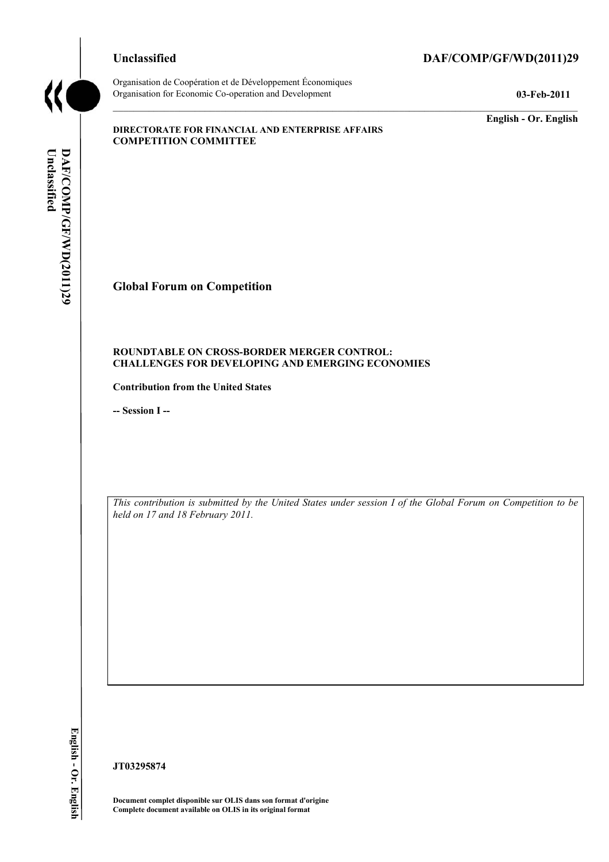# **Unclassified DAF/COMP/GF/WD(2011)29**



Organisation de Coopération et de Développement Économiques Organisation for Economic Co-operation and Development **03-Feb-2011** 

**English - Or. English** 

#### **DIRECTORATE FOR FINANCIAL AND ENTERPRISE AFFAIRS COMPETITION COMMITTEE**

Unclassified DAF/COMP/GF/WD(2011)29 **Unclassified DAF/COMP/GF/WD(2011)29 English - Or. English** 

**Global Forum on Competition** 

#### **ROUNDTABLE ON CROSS-BORDER MERGER CONTROL: CHALLENGES FOR DEVELOPING AND EMERGING ECONOMIES**

**Contribution from the United States** 

**-- Session I --** 

*This contribution is submitted by the United States under session I of the Global Forum on Competition to be held on 17 and 18 February 2011.* 

**JT03295874** 

 **Document complet disponible sur OLIS dans son format d'origine Complete document available on OLIS in its original format**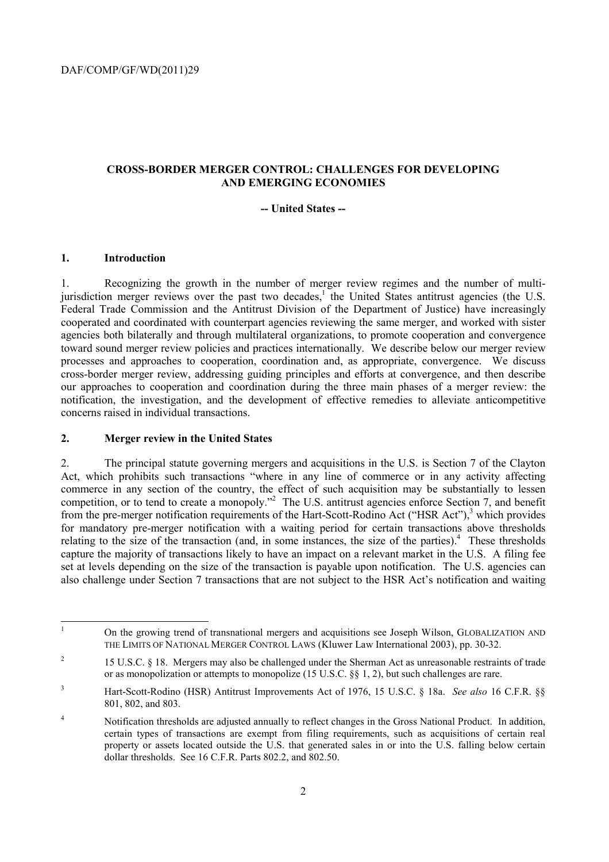#### **CROSS-BORDER MERGER CONTROL: CHALLENGES FOR DEVELOPING AND EMERGING ECONOMIES**

#### **-- United States --**

#### **1. Introduction**

l

1. Recognizing the growth in the number of merger review regimes and the number of multijurisdiction merger reviews over the past two decades,<sup>1</sup> the United States antitrust agencies (the U.S. Federal Trade Commission and the Antitrust Division of the Department of Justice) have increasingly cooperated and coordinated with counterpart agencies reviewing the same merger, and worked with sister agencies both bilaterally and through multilateral organizations, to promote cooperation and convergence toward sound merger review policies and practices internationally. We describe below our merger review processes and approaches to cooperation, coordination and, as appropriate, convergence. We discuss cross-border merger review, addressing guiding principles and efforts at convergence, and then describe our approaches to cooperation and coordination during the three main phases of a merger review: the notification, the investigation, and the development of effective remedies to alleviate anticompetitive concerns raised in individual transactions.

#### **2. Merger review in the United States**

2. The principal statute governing mergers and acquisitions in the U.S. is Section 7 of the Clayton Act, which prohibits such transactions "where in any line of commerce or in any activity affecting commerce in any section of the country, the effect of such acquisition may be substantially to lessen competition, or to tend to create a monopoly."<sup>2</sup> The U.S. antitrust agencies enforce Section 7, and benefit from the pre-merger notification requirements of the Hart-Scott-Rodino Act ("HSR Act"),<sup>3</sup> which provides for mandatory pre-merger notification with a waiting period for certain transactions above thresholds relating to the size of the transaction (and, in some instances, the size of the parties).<sup>4</sup> These thresholds capture the majority of transactions likely to have an impact on a relevant market in the U.S. A filing fee set at levels depending on the size of the transaction is payable upon notification. The U.S. agencies can also challenge under Section 7 transactions that are not subject to the HSR Act's notification and waiting

<sup>1</sup> On the growing trend of transnational mergers and acquisitions see Joseph Wilson, GLOBALIZATION AND THE LIMITS OF NATIONAL MERGER CONTROL LAWS (Kluwer Law International 2003), pp. 30-32.

<sup>&</sup>lt;sup>2</sup> 15 U.S.C. § 18. Mergers may also be challenged under the Sherman Act as unreasonable restraints of trade or as monopolization or attempts to monopolize (15 U.S.C. §§ 1, 2), but such challenges are rare.

<sup>3</sup> Hart-Scott-Rodino (HSR) Antitrust Improvements Act of 1976, 15 U.S.C. § 18a. *See also* 16 C.F.R. §§ 801, 802, and 803.

<sup>&</sup>lt;sup>4</sup> Notification thresholds are adjusted annually to reflect changes in the Gross National Product. In addition, certain types of transactions are exempt from filing requirements, such as acquisitions of certain real property or assets located outside the U.S. that generated sales in or into the U.S. falling below certain dollar thresholds. See 16 C.F.R. Parts 802.2, and 802.50.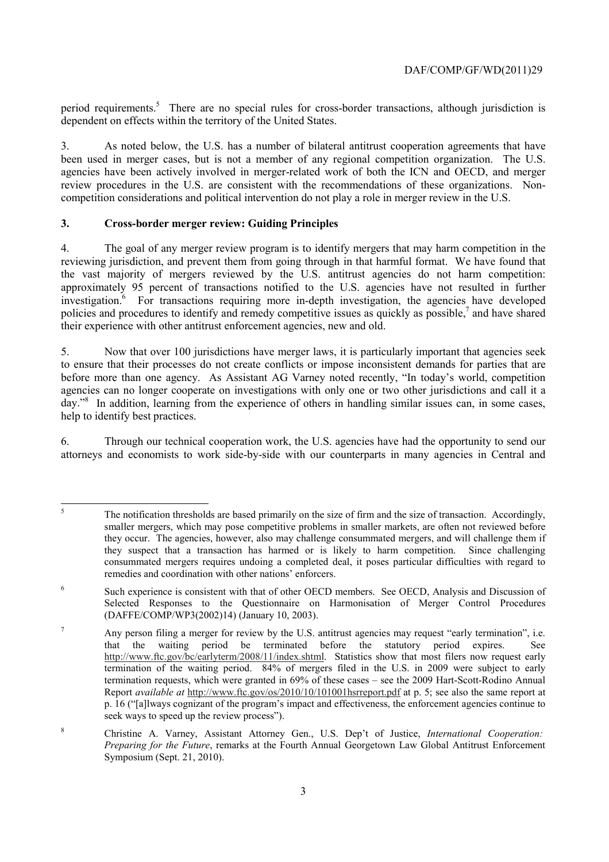period requirements.<sup>5</sup> There are no special rules for cross-border transactions, although jurisdiction is dependent on effects within the territory of the United States.

 competition considerations and political intervention do not play a role in merger review in the U.S. 3. As noted below, the U.S. has a number of bilateral antitrust cooperation agreements that have been used in merger cases, but is not a member of any regional competition organization. The U.S. agencies have been actively involved in merger-related work of both the ICN and OECD, and merger review procedures in the U.S. are consistent with the recommendations of these organizations. Non-

## **3. Cross-border merger review: Guiding Principles**

4. The goal of any merger review program is to identify mergers that may harm competition in the reviewing jurisdiction, and prevent them from going through in that harmful format. We have found that the vast majority of mergers reviewed by the U.S. antitrust agencies do not harm competition: approximately 95 percent of transactions notified to the U.S. agencies have not resulted in further investigation.<sup>6</sup> For transactions requiring more in-depth investigation, the agencies have developed policies and procedures to identify and remedy competitive issues as quickly as possible, $^7$  and have shared their experience with other antitrust enforcement agencies, new and old.

day."<sup>8</sup> In addition, learning from the experience of others in handling similar issues can, in some cases, 5. Now that over 100 jurisdictions have merger laws, it is particularly important that agencies seek to ensure that their processes do not create conflicts or impose inconsistent demands for parties that are before more than one agency. As Assistant AG Varney noted recently, "In today's world, competition agencies can no longer cooperate on investigations with only one or two other jurisdictions and call it a help to identify best practices.

6. Through our technical cooperation work, the U.S. agencies have had the opportunity to send our attorneys and economists to work side-by-side with our counterparts in many agencies in Central and

 smaller mergers, which may pose competitive problems in smaller markets, are often not reviewed before they suspect that a transaction has harmed or is likely to harm competition. Since challenging remedies and coordination with other nations' enforcers. 5 The notification thresholds are based primarily on the size of firm and the size of transaction. Accordingly, they occur. The agencies, however, also may challenge consummated mergers, and will challenge them if consummated mergers requires undoing a completed deal, it poses particular difficulties with regard to

<sup>6</sup> Such experience is consistent with that of other OECD members. See OECD, Analysis and Discussion of Selected Responses to the Questionnaire on Harmonisation of Merger Control Procedures (DAFFE/COMP/WP3(2002)14) (January 10, 2003).

 that the waiting period be terminated before the statutory period expires. See termination requests, which were granted in 69% of these cases – see the 2009 Hart-Scott-Rodino Annual p. 16 ("[a]lways cognizant of the program's impact and effectiveness, the enforcement agencies continue to <sup>7</sup> Any person filing a merger for review by the U.S. antitrust agencies may request "early termination", i.e. http://www.ftc.gov/bc/earlyterm/2008/11/index.shtml. Statistics show that most filers now request early termination of the waiting period. 84% of mergers filed in the U.S. in 2009 were subject to early Report *available at* http://www.ftc.gov/os/2010/10/101001hsrreport.pdf at p. 5; see also the same report at seek ways to speed up the review process").

<sup>8</sup> Christine A. Varney, Assistant Attorney Gen., U.S. Dep't of Justice, *International Cooperation: Preparing for the Future*, remarks at the Fourth Annual Georgetown Law Global Antitrust Enforcement Symposium (Sept. 21, 2010).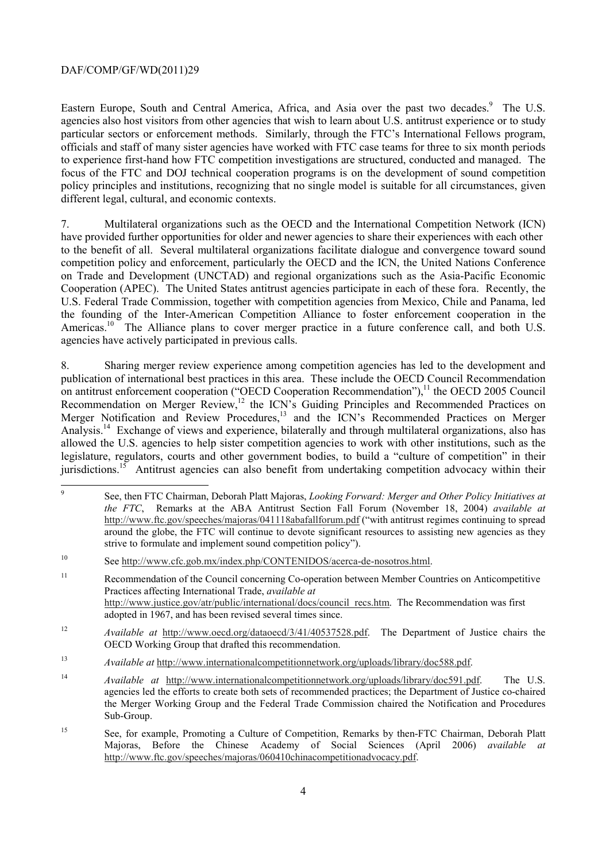Eastern Europe, South and Central America, Africa, and Asia over the past two decades.<sup>9</sup> The U.S. agencies also host visitors from other agencies that wish to learn about U.S. antitrust experience or to study particular sectors or enforcement methods. Similarly, through the FTC's International Fellows program, officials and staff of many sister agencies have worked with FTC case teams for three to six month periods to experience first-hand how FTC competition investigations are structured, conducted and managed. The focus of the FTC and DOJ technical cooperation programs is on the development of sound competition policy principles and institutions, recognizing that no single model is suitable for all circumstances, given different legal, cultural, and economic contexts.

 7. Multilateral organizations such as the OECD and the International Competition Network (ICN) have provided further opportunities for older and newer agencies to share their experiences with each other to the benefit of all. Several multilateral organizations facilitate dialogue and convergence toward sound competition policy and enforcement, particularly the OECD and the ICN, the United Nations Conference on Trade and Development (UNCTAD) and regional organizations such as the Asia-Pacific Economic Cooperation (APEC). The United States antitrust agencies participate in each of these fora. Recently, the U.S. Federal Trade Commission, together with competition agencies from Mexico, Chile and Panama, led the founding of the Inter-American Competition Alliance to foster enforcement cooperation in the Americas.<sup>10</sup> The Alliance plans to cover merger practice in a future conference call, and both U.S. agencies have actively participated in previous calls.

 allowed the U.S. agencies to help sister competition agencies to work with other institutions, such as the 8. Sharing merger review experience among competition agencies has led to the development and publication of international best practices in this area. These include the OECD Council Recommendation on antitrust enforcement cooperation ("OECD Cooperation Recommendation"),<sup>11</sup> the OECD 2005 Council Recommendation on Merger Review,<sup>12</sup> the ICN's Guiding Principles and Recommended Practices on Merger Notification and Review Procedures,<sup>13</sup> and the ICN's Recommended Practices on Merger Analysis.<sup>14</sup> Exchange of views and experience, bilaterally and through multilateral organizations, also has legislature, regulators, courts and other government bodies, to build a "culture of competition" in their jurisdictions.<sup>15</sup> Antitrust agencies can also benefit from undertaking competition advocacy within their

 9 See, then FTC Chairman, Deborah Platt Majoras, *Looking Forward: Merger and Other Policy Initiatives at the FTC*, Remarks at the ABA Antitrust Section Fall Forum (November 18, 2004) *available at*  http://www.ftc.gov/speeches/majoras/041118abafallforum.pdf ("with antitrust regimes continuing to spread around the globe, the FTC will continue to devote significant resources to assisting new agencies as they strive to formulate and implement sound competition policy").

<sup>10</sup> See http://www.cfc.gob.mx/index.php/CONTENIDOS/acerca-de-nosotros.html.

<sup>11</sup> Recommendation of the Council concerning Co-operation between Member Countries on Anticompetitive Practices affecting International Trade, *available at*  http://www.justice.gov/atr/public/international/docs/council\_recs.htm. The Recommendation was first adopted in 1967, and has been revised several times since.

OECD Working Group that drafted this recommendation. <sup>12</sup>*Available at* http://www.oecd.org/dataoecd/3/41/40537528.pdf. The Department of Justice chairs the

<sup>&</sup>lt;sup>13</sup> *Available at http://www.internationalcompetitionnetwork.org/uploads/library/doc588.pdf.* 

<sup>14</sup>*Available at* http://www.internationalcompetitionnetwork.org/uploads/library/doc591.pdf. The U.S. agencies led the efforts to create both sets of recommended practices; the Department of Justice co-chaired the Merger Working Group and the Federal Trade Commission chaired the Notification and Procedures Sub-Group.

<sup>15</sup> See, for example, Promoting a Culture of Competition, Remarks by then-FTC Chairman, Deborah Platt Majoras, Before the Chinese Academy of Social Sciences (April 2006) *available at*  http://www.ftc.gov/speeches/majoras/060410chinacompetitionadvocacy.pdf.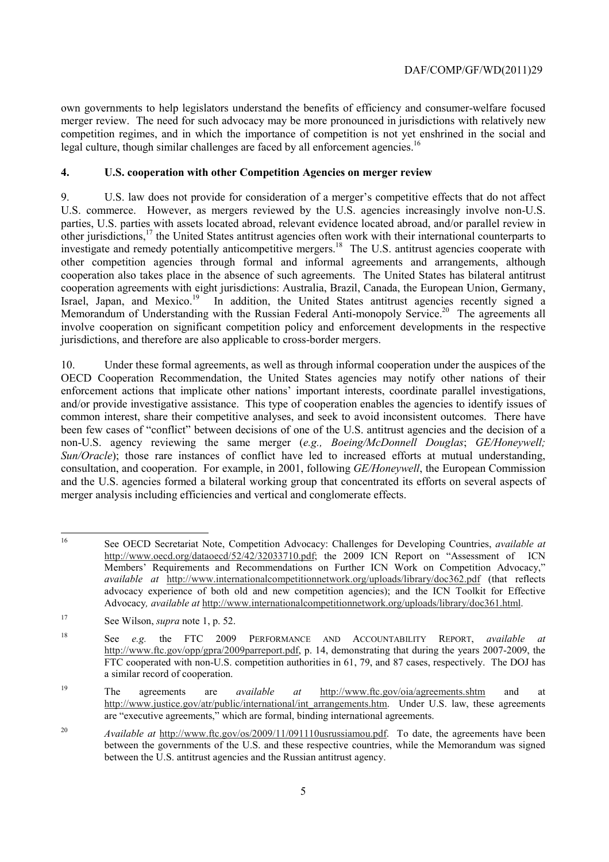legal culture, though similar challenges are faced by all enforcement agencies.<sup>16</sup> own governments to help legislators understand the benefits of efficiency and consumer-welfare focused merger review. The need for such advocacy may be more pronounced in jurisdictions with relatively new competition regimes, and in which the importance of competition is not yet enshrined in the social and

# **4. U.S. cooperation with other Competition Agencies on merger review**

9. U.S. law does not provide for consideration of a merger's competitive effects that do not affect U.S. commerce. However, as mergers reviewed by the U.S. agencies increasingly involve non-U.S. parties, U.S. parties with assets located abroad, relevant evidence located abroad, and/or parallel review in other jurisdictions,<sup>17</sup> the United States antitrust agencies often work with their international counterparts to investigate and remedy potentially anticompetitive mergers.<sup>18</sup> The U.S. antitrust agencies cooperate with other competition agencies through formal and informal agreements and arrangements, although cooperation also takes place in the absence of such agreements. The United States has bilateral antitrust cooperation agreements with eight jurisdictions: Australia, Brazil, Canada, the European Union, Germany, Israel, Japan, and Mexico.<sup>19</sup> In addition, the United States antitrust agencies recently signed a Memorandum of Understanding with the Russian Federal Anti-monopoly Service.<sup>20</sup> The agreements all involve cooperation on significant competition policy and enforcement developments in the respective jurisdictions, and therefore are also applicable to cross-border mergers.

10. Under these formal agreements, as well as through informal cooperation under the auspices of the OECD Cooperation Recommendation, the United States agencies may notify other nations of their enforcement actions that implicate other nations' important interests, coordinate parallel investigations, and/or provide investigative assistance. This type of cooperation enables the agencies to identify issues of common interest, share their competitive analyses, and seek to avoid inconsistent outcomes. There have been few cases of "conflict" between decisions of one of the U.S. antitrust agencies and the decision of a non-U.S. agency reviewing the same merger (*e.g., Boeing/McDonnell Douglas*; *GE/Honeywell; Sun/Oracle*); those rare instances of conflict have led to increased efforts at mutual understanding, consultation, and cooperation. For example, in 2001, following *GE/Honeywell*, the European Commission and the U.S. agencies formed a bilateral working group that concentrated its efforts on several aspects of merger analysis including efficiencies and vertical and conglomerate effects.

19 The agreements are *available at* http://www.ftc.gov/oia/agreements.shtm and at http://www.justice.gov/atr/public/international/int\_arrangements.htm. Under U.S. law, these agreements are "executive agreements," which are formal, binding international agreements.

<sup>20</sup>*Available at* http://www.ftc.gov/os/2009/11/091110usrussiamou.pdf. To date, the agreements have been between the governments of the U.S. and these respective countries, while the Memorandum was signed between the U.S. antitrust agencies and the Russian antitrust agency.

 Members' Requirements and Recommendations on Further ICN Work on Competition Advocacy," 16 See OECD Secretariat Note, Competition Advocacy: Challenges for Developing Countries, *available at*  http://www.oecd.org/dataoecd/52/42/32033710.pdf; the 2009 ICN Report on "Assessment of ICN *available at* http://www.internationalcompetitionnetwork.org/uploads/library/doc362.pdf (that reflects advocacy experience of both old and new competition agencies); and the ICN Toolkit for Effective Advocacy*, available at* http://www.internationalcompetitionnetwork.org/uploads/library/doc361.html.

<sup>17</sup> See Wilson, *supra* note 1, p. 52.

<sup>18</sup> a similar record of cooperation. 18 See *e.g.* the FTC 2009 PERFORMANCE AND ACCOUNTABILITY REPORT, *available at*  http://www.ftc.gov/opp/gpra/2009parreport.pdf, p. 14, demonstrating that during the years 2007-2009, the FTC cooperated with non-U.S. competition authorities in 61, 79, and 87 cases, respectively. The DOJ has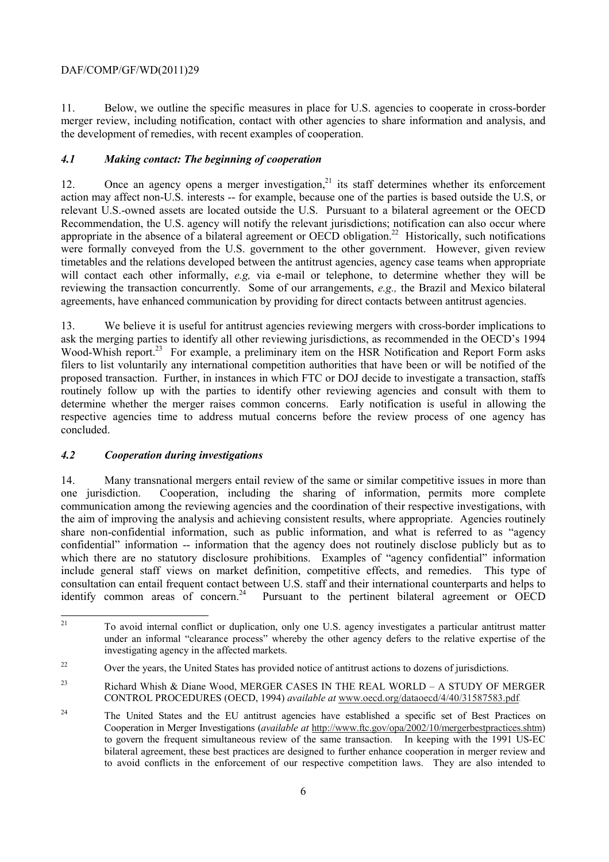the development of remedies, with recent examples of cooperation. 11. Below, we outline the specific measures in place for U.S. agencies to cooperate in cross-border merger review, including notification, contact with other agencies to share information and analysis, and

## *4.1 Making contact: The beginning of cooperation*

12. Once an agency opens a merger investigation, $2<sup>1</sup>$  its staff determines whether its enforcement action may affect non-U.S. interests -- for example, because one of the parties is based outside the U.S, or relevant U.S.-owned assets are located outside the U.S. Pursuant to a bilateral agreement or the OECD Recommendation, the U.S. agency will notify the relevant jurisdictions; notification can also occur where appropriate in the absence of a bilateral agreement or OECD obligation.<sup>22</sup> Historically, such notifications were formally conveyed from the U.S. government to the other government. However, given review timetables and the relations developed between the antitrust agencies, agency case teams when appropriate will contact each other informally, *e.g,* via e-mail or telephone, to determine whether they will be reviewing the transaction concurrently. Some of our arrangements, *e.g.,* the Brazil and Mexico bilateral agreements, have enhanced communication by providing for direct contacts between antitrust agencies.

 13. We believe it is useful for antitrust agencies reviewing mergers with cross-border implications to filers to list voluntarily any international competition authorities that have been or will be notified of the determine whether the merger raises common concerns. Early notification is useful in allowing the ask the merging parties to identify all other reviewing jurisdictions, as recommended in the OECD's 1994 Wood-Whish report.<sup>23</sup> For example, a preliminary item on the HSR Notification and Report Form asks proposed transaction. Further, in instances in which FTC or DOJ decide to investigate a transaction, staffs routinely follow up with the parties to identify other reviewing agencies and consult with them to respective agencies time to address mutual concerns before the review process of one agency has concluded.

#### *4.2 Cooperation during investigations*

14. Many transnational mergers entail review of the same or similar competitive issues in more than one jurisdiction. Cooperation, including the sharing of information, permits more complete communication among the reviewing agencies and the coordination of their respective investigations, with the aim of improving the analysis and achieving consistent results, where appropriate. Agencies routinely share non-confidential information, such as public information, and what is referred to as "agency confidential" information -- information that the agency does not routinely disclose publicly but as to which there are no statutory disclosure prohibitions. Examples of "agency confidential" information include general staff views on market definition, competitive effects, and remedies. This type of consultation can entail frequent contact between U.S. staff and their international counterparts and helps to identify common areas of concern.<sup>24</sup> Pursuant to the pertinent bilateral agreement or OECD

 $\overline{a}$ investigating agency in the affected markets. 21 To avoid internal conflict or duplication, only one U.S. agency investigates a particular antitrust matter under an informal "clearance process" whereby the other agency defers to the relative expertise of the

<sup>&</sup>lt;sup>22</sup> Over the years, the United States has provided notice of antitrust actions to dozens of jurisdictions.

<sup>&</sup>lt;sup>23</sup> Richard Whish & Diane Wood, MERGER CASES IN THE REAL WORLD – A STUDY OF MERGER CONTROL PROCEDURES (OECD, 1994) *available at* www.oecd.org/dataoecd/4/40/31587583.pdf*.* 

 $24$  to govern the frequent simultaneous review of the same transaction. In keeping with the 1991 US-EC 24 The United States and the EU antitrust agencies have established a specific set of Best Practices on Cooperation in Merger Investigations (*available at* http://www.ftc.gov/opa/2002/10/mergerbestpractices.shtm) bilateral agreement, these best practices are designed to further enhance cooperation in merger review and to avoid conflicts in the enforcement of our respective competition laws. They are also intended to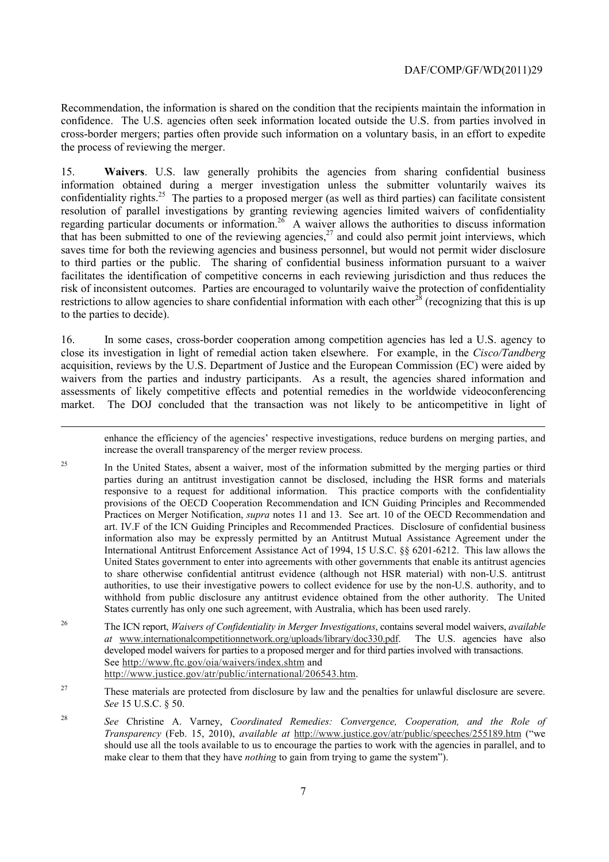Recommendation, the information is shared on the condition that the recipients maintain the information in confidence. The U.S. agencies often seek information located outside the U.S. from parties involved in cross-border mergers; parties often provide such information on a voluntary basis, in an effort to expedite the process of reviewing the merger.

15. **Waivers**. U.S. law generally prohibits the agencies from sharing confidential business information obtained during a merger investigation unless the submitter voluntarily waives its confidentiality rights.<sup>25</sup> The parties to a proposed merger (as well as third parties) can facilitate consistent resolution of parallel investigations by granting reviewing agencies limited waivers of confidentiality regarding particular documents or information.<sup>26</sup> A waiver allows the authorities to discuss information that has been submitted to one of the reviewing agencies,  $27$  and could also permit joint interviews, which saves time for both the reviewing agencies and business personnel, but would not permit wider disclosure to third parties or the public. The sharing of confidential business information pursuant to a waiver facilitates the identification of competitive concerns in each reviewing jurisdiction and thus reduces the risk of inconsistent outcomes. Parties are encouraged to voluntarily waive the protection of confidentiality restrictions to allow agencies to share confidential information with each other<sup>28</sup> (recognizing that this is up to the parties to decide).

16. In some cases, cross-border cooperation among competition agencies has led a U.S. agency to close its investigation in light of remedial action taken elsewhere. For example, in the *Cisco/Tandberg*  acquisition, reviews by the U.S. Department of Justice and the European Commission (EC) were aided by waivers from the parties and industry participants. As a result, the agencies shared information and assessments of likely competitive effects and potential remedies in the worldwide videoconferencing market. The DOJ concluded that the transaction was not likely to be anticompetitive in light of

1

enhance the efficiency of the agencies' respective investigations, reduce burdens on merging parties, and increase the overall transparency of the merger review process.

25 parties during an antitrust investigation cannot be disclosed, including the HSR forms and materials to share otherwise confidential antitrust evidence (although not HSR material) with non-U.S. antitrust States currently has only one such agreement, with Australia, which has been used rarely. 25 In the United States, absent a waiver, most of the information submitted by the merging parties or third responsive to a request for additional information. This practice comports with the confidentiality provisions of the OECD Cooperation Recommendation and ICN Guiding Principles and Recommended Practices on Merger Notification, *supra* notes 11 and 13. See art. 10 of the OECD Recommendation and art. IV.F of the ICN Guiding Principles and Recommended Practices. Disclosure of confidential business information also may be expressly permitted by an Antitrust Mutual Assistance Agreement under the International Antitrust Enforcement Assistance Act of 1994, 15 U.S.C. §§ 6201-6212. This law allows the United States government to enter into agreements with other governments that enable its antitrust agencies authorities, to use their investigative powers to collect evidence for use by the non-U.S. authority, and to withhold from public disclosure any antitrust evidence obtained from the other authority. The United

 $26$ 26 The ICN report, *Waivers of Confidentiality in Merger Investigations*, contains several model waivers, *available at* www.internationalcompetitionnetwork.org/uploads/library/doc330.pdf. The U.S. agencies have also developed model waivers for parties to a proposed merger and for third parties involved with transactions. See http://www.ftc.gov/oia/waivers/index.shtm and http://www.justice.gov/atr/public/international/206543.htm.

<sup>27</sup> These materials are protected from disclosure by law and the penalties for unlawful disclosure are severe. *See* 15 U.S.C. § 50.

28 should use all the tools available to us to encourage the parties to work with the agencies in parallel, and to make clear to them that they have *nothing* to gain from trying to game the system"). <sup>28</sup>*See* Christine A. Varney, *Coordinated Remedies: Convergence, Cooperation, and the Role of Transparency* (Feb. 15, 2010), *available at* http://www.justice.gov/atr/public/speeches/255189.htm ("we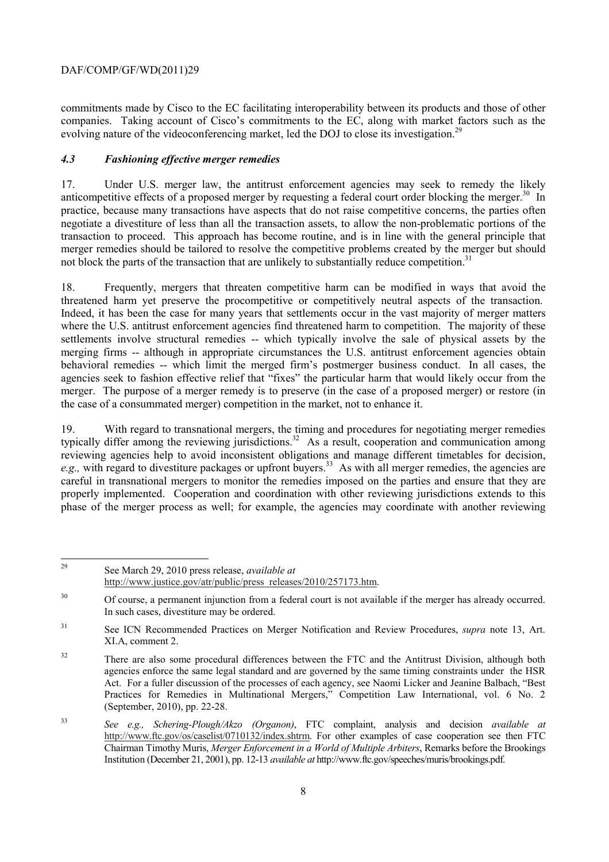evolving nature of the videoconferencing market, led the DOJ to close its investigation.<sup>29</sup> commitments made by Cisco to the EC facilitating interoperability between its products and those of other companies. Taking account of Cisco's commitments to the EC, along with market factors such as the

## *4.3 Fashioning effective merger remedies*

17. Under U.S. merger law, the antitrust enforcement agencies may seek to remedy the likely anticompetitive effects of a proposed merger by requesting a federal court order blocking the merger.<sup>30</sup> In practice, because many transactions have aspects that do not raise competitive concerns, the parties often negotiate a divestiture of less than all the transaction assets, to allow the non-problematic portions of the transaction to proceed. This approach has become routine, and is in line with the general principle that merger remedies should be tailored to resolve the competitive problems created by the merger but should not block the parts of the transaction that are unlikely to substantially reduce competition.<sup>31</sup>

threatened harm yet preserve the procompetitive or competitively neutral aspects of the transaction. merger. The purpose of a merger remedy is to preserve (in the case of a proposed merger) or restore (in 18. Frequently, mergers that threaten competitive harm can be modified in ways that avoid the Indeed, it has been the case for many years that settlements occur in the vast majority of merger matters where the U.S. antitrust enforcement agencies find threatened harm to competition. The majority of these settlements involve structural remedies -- which typically involve the sale of physical assets by the merging firms -- although in appropriate circumstances the U.S. antitrust enforcement agencies obtain behavioral remedies -- which limit the merged firm's postmerger business conduct. In all cases, the agencies seek to fashion effective relief that "fixes" the particular harm that would likely occur from the the case of a consummated merger) competition in the market, not to enhance it.

19. With regard to transnational mergers, the timing and procedures for negotiating merger remedies typically differ among the reviewing jurisdictions.<sup>32</sup> As a result, cooperation and communication among reviewing agencies help to avoid inconsistent obligations and manage different timetables for decision, *e.g.*, with regard to divestiture packages or upfront buyers.<sup>33</sup> As with all merger remedies, the agencies are careful in transnational mergers to monitor the remedies imposed on the parties and ensure that they are properly implemented. Cooperation and coordination with other reviewing jurisdictions extends to this phase of the merger process as well; for example, the agencies may coordinate with another reviewing

29 29 See March 29, 2010 press release, *available at*  http://www.justice.gov/atr/public/press\_releases/2010/257173.htm.

 In such cases, divestiture may be ordered. <sup>30</sup> Of course, a permanent injunction from a federal court is not available if the merger has already occurred.

 $31$ 31 See ICN Recommended Practices on Merger Notification and Review Procedures, *supra* note 13, Art. XI.A, comment 2.

<sup>&</sup>lt;sup>32</sup> There are also some procedural differences between the FTC and the Antitrust Division, although both agencies enforce the same legal standard and are governed by the same timing constraints under the HSR Act. For a fuller discussion of the processes of each agency, see Naomi Licker and Jeanine Balbach, "Best Practices for Remedies in Multinational Mergers," Competition Law International, vol. 6 No. 2 (September, 2010), pp. 22-28.

 Chairman Timothy Muris, *Merger Enforcement in a World of Multiple Arbiters*, Remarks before the Brookings <sup>33</sup>*See e.g., Schering-Plough/Akzo (Organon)*, FTC complaint, analysis and decision *available at*  http://www.ftc.gov/os/caselist/0710132/index.shtrm. For other examples of case cooperation see then FTC Institution (December 21, 2001), pp. 12-13 *available at* http://www.ftc.gov/speeches/muris/brookings.pdf.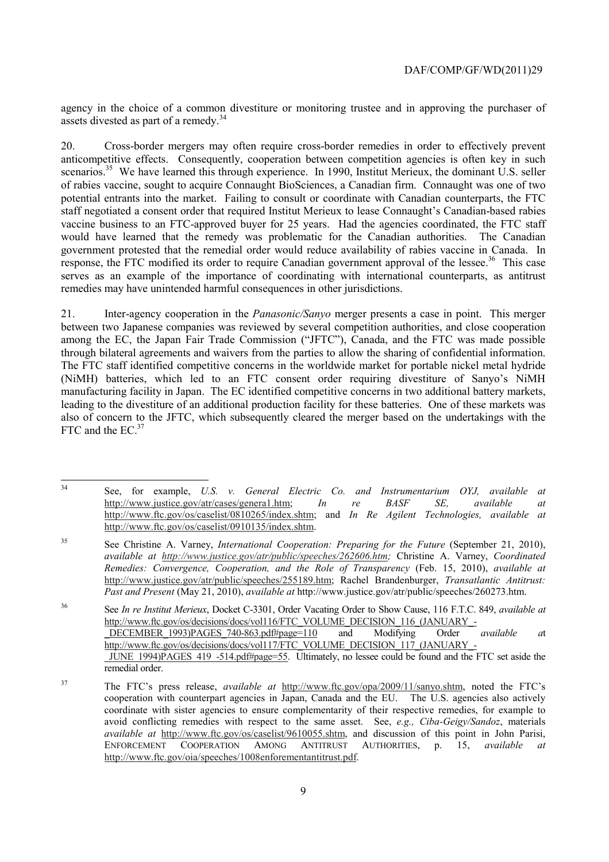agency in the choice of a common divestiture or monitoring trustee and in approving the purchaser of assets divested as part of a remedy.<sup>34</sup>

 of rabies vaccine, sought to acquire Connaught BioSciences, a Canadian firm. Connaught was one of two 20. Cross-border mergers may often require cross-border remedies in order to effectively prevent anticompetitive effects. Consequently, cooperation between competition agencies is often key in such scenarios.<sup>35</sup> We have learned this through experience. In 1990, Institut Merieux, the dominant U.S. seller potential entrants into the market. Failing to consult or coordinate with Canadian counterparts, the FTC staff negotiated a consent order that required Institut Merieux to lease Connaught's Canadian-based rabies vaccine business to an FTC-approved buyer for 25 years. Had the agencies coordinated, the FTC staff would have learned that the remedy was problematic for the Canadian authorities. The Canadian government protested that the remedial order would reduce availability of rabies vaccine in Canada. In response, the FTC modified its order to require Canadian government approval of the lessee.<sup>36</sup> This case serves as an example of the importance of coordinating with international counterparts, as antitrust remedies may have unintended harmful consequences in other jurisdictions.

through bilateral agreements and waivers from the parties to allow the sharing of confidential information. leading to the divestiture of an additional production facility for these batteries. One of these markets was 21. Inter-agency cooperation in the *Panasonic/Sanyo* merger presents a case in point. This merger between two Japanese companies was reviewed by several competition authorities, and close cooperation among the EC, the Japan Fair Trade Commission ("JFTC"), Canada, and the FTC was made possible The FTC staff identified competitive concerns in the worldwide market for portable nickel metal hydride (NiMH) batteries, which led to an FTC consent order requiring divestiture of Sanyo's NiMH manufacturing facility in Japan. The EC identified competitive concerns in two additional battery markets, also of concern to the JFTC, which subsequently cleared the merger based on the undertakings with the FTC and the EC.<sup>37</sup>

36 See *In re Institut Merieux*, Docket C-3301, Order Vacating Order to Show Cause, 116 F.T.C. 849, *available at*  http://www.ftc.gov/os/decisions/docs/vol116/FTC\_VOLUME\_DECISION\_116\_(JANUARY\_-\_DECEMBER\_1993)PAGES\_740-863.pdf#page=110 and Modifying Order *available a*t http://www.ftc.gov/os/decisions/docs/vol117/FTC\_VOLUME\_DECISION\_117\_(JANUARY\_- \_JUNE\_1994)PAGES\_419\_-514.pdf#page=55. Ultimately, no lessee could be found and the FTC set aside the remedial order.

 $34$ 34 See, for example, *U.S. v. General Electric Co. and Instrumentarium OYJ, available at*  http://www.justice.gov/atr/cases/genera1.htm; *In re BASF SE, available at*  http://www.ftc.gov/os/caselist/0810265/index.shtm; and *In Re Agilent Technologies, available at*  http://www.ftc.gov/os/caselist/0910135/index.shtm.

<sup>35</sup> 35 See Christine A. Varney, *International Cooperation: Preparing for the Future* (September 21, 2010), *available at http://www.justice.gov/atr/public/speeches/262606.htm;* Christine A. Varney, *Coordinated Remedies: Convergence, Cooperation, and the Role of Transparency* (Feb. 15, 2010), *available at*  http://www.justice.gov/atr/public/speeches/255189.htm; Rachel Brandenburger, *Transatlantic Antitrust: Past and Present* (May 21, 2010), *available at* http://www.justice.gov/atr/public/speeches/260273.htm.

 avoid conflicting remedies with respect to the same asset. See, *e.g., Ciba-Geigy/Sandoz*, materials 37 The FTC's press release, *available at* http://www.ftc.gov/opa/2009/11/sanyo.shtm, noted the FTC's cooperation with counterpart agencies in Japan, Canada and the EU. The U.S. agencies also actively coordinate with sister agencies to ensure complementarity of their respective remedies, for example to *available at http://www.ftc.gov/os/caselist/9610055.shtm, and discussion of this point in John Parisi,* ENFORCEMENT COOPERATION AMONG ANTITRUST AUTHORITIES, p. 15, *available at*  http://www.ftc.gov/oia/speeches/1008enforementantitrust.pdf.